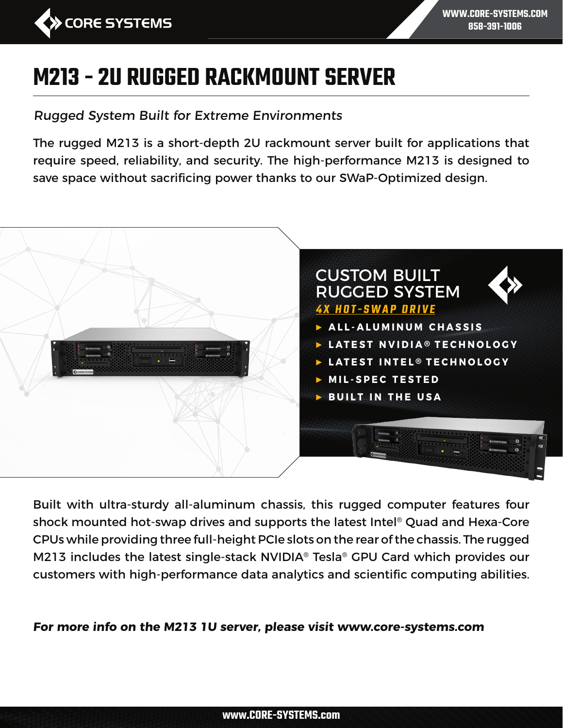

**WWW.CORE-SYSTEMS.COM 858-391-1006**

# **M213 - 2U RUGGED RACKMOUNT SERVER**

Rugged System Built for Extreme Environments

The rugged M213 is a short-depth 2U rackmount server built for applications that require speed, reliability, and security. The high-performance M213 is designed to save space without sacrificing power thanks to our SWaP-Optimized design.



Built with ultra-sturdy all-aluminum chassis, this rugged computer features four shock mounted hot-swap drives and supports the latest Intel® Quad and Hexa-Core CPUs while providing three full-height PCIe slots on the rear of the chassis. The rugged M213 includes the latest single-stack NVIDIA® Tesla® GPU Card which provides our customers with high-performance data analytics and scientific computing abilities.

**For more info on the M213 1U server, please visit www.core-systems.com**